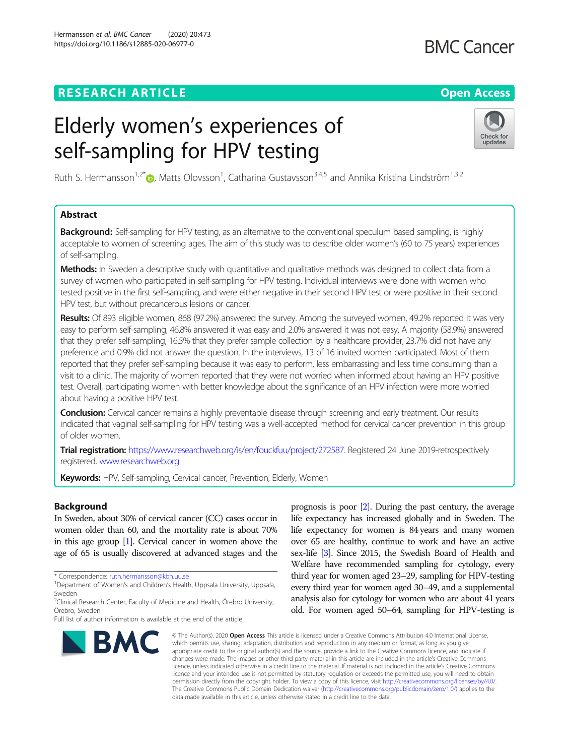# **RESEARCH ARTICLE Example 2014 12:30 The Contract of Contract ACCESS**

# Elderly women's experiences of self-sampling for HPV testing

Ruth S. Hermansson $^{1,2^{\ast}}$  $^{1,2^{\ast}}$  $^{1,2^{\ast}}$  (@, Matts Olovsson $^{1}$ , Catharina Gustavsson $^{3,4,5}$  and Annika Kristina Lindström $^{1,3,2}$ 

# Abstract

**Background:** Self-sampling for HPV testing, as an alternative to the conventional speculum based sampling, is highly acceptable to women of screening ages. The aim of this study was to describe older women's (60 to 75 years) experiences of self-sampling.

Methods: In Sweden a descriptive study with quantitative and qualitative methods was designed to collect data from a survey of women who participated in self-sampling for HPV testing. Individual interviews were done with women who tested positive in the first self-sampling, and were either negative in their second HPV test or were positive in their second HPV test, but without precancerous lesions or cancer.

Results: Of 893 eligible women, 868 (97.2%) answered the survey. Among the surveyed women, 49.2% reported it was very easy to perform self-sampling, 46.8% answered it was easy and 2.0% answered it was not easy. A majority (58.9%) answered that they prefer self-sampling, 16.5% that they prefer sample collection by a healthcare provider, 23.7% did not have any preference and 0.9% did not answer the question. In the interviews, 13 of 16 invited women participated. Most of them reported that they prefer self-sampling because it was easy to perform, less embarrassing and less time consuming than a visit to a clinic. The majority of women reported that they were not worried when informed about having an HPV positive test. Overall, participating women with better knowledge about the significance of an HPV infection were more worried about having a positive HPV test.

Conclusion: Cervical cancer remains a highly preventable disease through screening and early treatment. Our results indicated that vaginal self-sampling for HPV testing was a well-accepted method for cervical cancer prevention in this group of older women.

Trial registration: <https://www.researchweb.org/is/en/fouckfuu/project/272587>. Registered 24 June 2019-retrospectively registered. [www.researchweb.org](http://www.researchweb.org)

Keywords: HPV, Self-sampling, Cervical cancer, Prevention, Elderly, Women

# Background

In Sweden, about 30% of cervical cancer (CC) cases occur in women older than 60, and the mortality rate is about 70% in this age group [\[1](#page-6-0)]. Cervical cancer in women above the age of 65 is usually discovered at advanced stages and the

\* Correspondence: [ruth.hermansson@kbh.uu.se](mailto:ruth.hermansson@kbh.uu.se) <sup>1</sup>

Full list of author information is available at the end of the article



prognosis is poor [\[2](#page-6-0)]. During the past century, the average life expectancy has increased globally and in Sweden. The life expectancy for women is 84 years and many women over 65 are healthy, continue to work and have an active sex-life [\[3\]](#page-6-0). Since 2015, the Swedish Board of Health and Welfare have recommended sampling for cytology, every third year for women aged 23–29, sampling for HPV-testing every third year for women aged 30–49, and a supplemental analysis also for cytology for women who are about 41 years old. For women aged 50–64, sampling for HPV-testing is

© The Author(s), 2020 **Open Access** This article is licensed under a Creative Commons Attribution 4.0 International License, which permits use, sharing, adaptation, distribution and reproduction in any medium or format, as long as you give appropriate credit to the original author(s) and the source, provide a link to the Creative Commons licence, and indicate if changes were made. The images or other third party material in this article are included in the article's Creative Commons licence, unless indicated otherwise in a credit line to the material. If material is not included in the article's Creative Commons licence and your intended use is not permitted by statutory regulation or exceeds the permitted use, you will need to obtain permission directly from the copyright holder. To view a copy of this licence, visit [http://creativecommons.org/licenses/by/4.0/.](http://creativecommons.org/licenses/by/4.0/) The Creative Commons Public Domain Dedication waiver [\(http://creativecommons.org/publicdomain/zero/1.0/](http://creativecommons.org/publicdomain/zero/1.0/)) applies to the data made available in this article, unless otherwise stated in a credit line to the data.



<sup>&</sup>lt;sup>1</sup>Department of Women's and Children's Health, Uppsala University, Uppsala, Sweden

<sup>&</sup>lt;sup>2</sup>Clinical Research Center, Faculty of Medicine and Health, Örebro University, Örebro, Sweden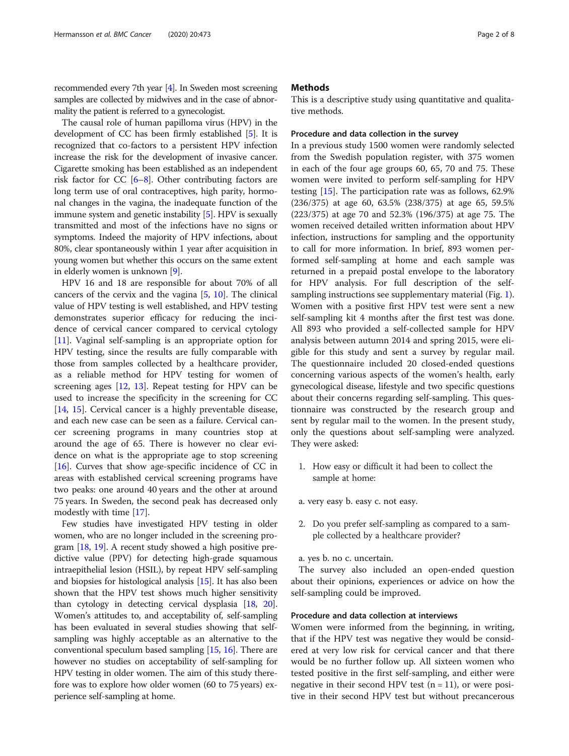recommended every 7th year [[4](#page-6-0)]. In Sweden most screening samples are collected by midwives and in the case of abnormality the patient is referred to a gynecologist.

The causal role of human papilloma virus (HPV) in the development of CC has been firmly established [\[5\]](#page-6-0). It is recognized that co-factors to a persistent HPV infection increase the risk for the development of invasive cancer. Cigarette smoking has been established as an independent risk factor for CC  $[6-8]$  $[6-8]$  $[6-8]$  $[6-8]$  $[6-8]$ . Other contributing factors are long term use of oral contraceptives, high parity, hormonal changes in the vagina, the inadequate function of the immune system and genetic instability [\[5](#page-6-0)]. HPV is sexually transmitted and most of the infections have no signs or symptoms. Indeed the majority of HPV infections, about 80%, clear spontaneously within 1 year after acquisition in young women but whether this occurs on the same extent in elderly women is unknown [[9\]](#page-6-0).

HPV 16 and 18 are responsible for about 70% of all cancers of the cervix and the vagina [\[5,](#page-6-0) [10](#page-6-0)]. The clinical value of HPV testing is well established, and HPV testing demonstrates superior efficacy for reducing the incidence of cervical cancer compared to cervical cytology [[11\]](#page-6-0). Vaginal self-sampling is an appropriate option for HPV testing, since the results are fully comparable with those from samples collected by a healthcare provider, as a reliable method for HPV testing for women of screening ages [\[12](#page-6-0), [13](#page-6-0)]. Repeat testing for HPV can be used to increase the specificity in the screening for CC [[14,](#page-6-0) [15](#page-6-0)]. Cervical cancer is a highly preventable disease, and each new case can be seen as a failure. Cervical cancer screening programs in many countries stop at around the age of 65. There is however no clear evidence on what is the appropriate age to stop screening [[16\]](#page-6-0). Curves that show age-specific incidence of CC in areas with established cervical screening programs have two peaks: one around 40 years and the other at around 75 years. In Sweden, the second peak has decreased only modestly with time [[17\]](#page-6-0).

Few studies have investigated HPV testing in older women, who are no longer included in the screening program [[18](#page-6-0), [19\]](#page-6-0). A recent study showed a high positive predictive value (PPV) for detecting high-grade squamous intraepithelial lesion (HSIL), by repeat HPV self-sampling and biopsies for histological analysis [\[15\]](#page-6-0). It has also been shown that the HPV test shows much higher sensitivity than cytology in detecting cervical dysplasia [[18](#page-6-0), [20](#page-6-0)]. Women's attitudes to, and acceptability of, self-sampling has been evaluated in several studies showing that selfsampling was highly acceptable as an alternative to the conventional speculum based sampling [\[15](#page-6-0), [16\]](#page-6-0). There are however no studies on acceptability of self-sampling for HPV testing in older women. The aim of this study therefore was to explore how older women (60 to 75 years) experience self-sampling at home.

# **Methods**

This is a descriptive study using quantitative and qualitative methods.

# Procedure and data collection in the survey

In a previous study 1500 women were randomly selected from the Swedish population register, with 375 women in each of the four age groups 60, 65, 70 and 75. These women were invited to perform self-sampling for HPV testing [\[15](#page-6-0)]. The participation rate was as follows, 62.9% (236/375) at age 60, 63.5% (238/375) at age 65, 59.5% (223/375) at age 70 and 52.3% (196/375) at age 75. The women received detailed written information about HPV infection, instructions for sampling and the opportunity to call for more information. In brief, 893 women performed self-sampling at home and each sample was returned in a prepaid postal envelope to the laboratory for HPV analysis. For full description of the selfsampling instructions see supplementary material (Fig. [1](#page-5-0)). Women with a positive first HPV test were sent a new self-sampling kit 4 months after the first test was done. All 893 who provided a self-collected sample for HPV analysis between autumn 2014 and spring 2015, were eligible for this study and sent a survey by regular mail. The questionnaire included 20 closed-ended questions concerning various aspects of the women's health, early gynecological disease, lifestyle and two specific questions about their concerns regarding self-sampling. This questionnaire was constructed by the research group and sent by regular mail to the women. In the present study, only the questions about self-sampling were analyzed. They were asked:

- 1. How easy or difficult it had been to collect the sample at home:
- a. very easy b. easy c. not easy.
- 2. Do you prefer self-sampling as compared to a sample collected by a healthcare provider?
- a. yes b. no c. uncertain.

The survey also included an open-ended question about their opinions, experiences or advice on how the self-sampling could be improved.

#### Procedure and data collection at interviews

Women were informed from the beginning, in writing, that if the HPV test was negative they would be considered at very low risk for cervical cancer and that there would be no further follow up. All sixteen women who tested positive in the first self-sampling, and either were negative in their second HPV test  $(n = 11)$ , or were positive in their second HPV test but without precancerous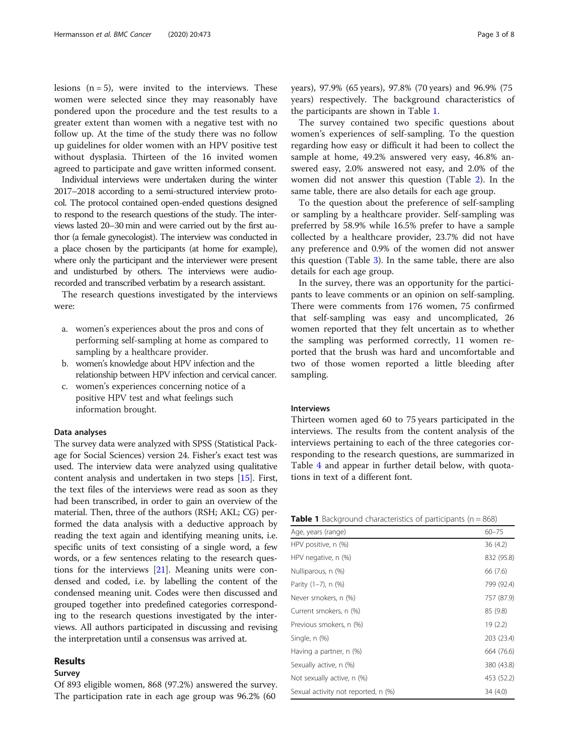lesions  $(n = 5)$ , were invited to the interviews. These women were selected since they may reasonably have pondered upon the procedure and the test results to a greater extent than women with a negative test with no follow up. At the time of the study there was no follow up guidelines for older women with an HPV positive test without dysplasia. Thirteen of the 16 invited women agreed to participate and gave written informed consent.

Individual interviews were undertaken during the winter 2017–2018 according to a semi-structured interview protocol. The protocol contained open-ended questions designed to respond to the research questions of the study. The interviews lasted 20–30 min and were carried out by the first author (a female gynecologist). The interview was conducted in a place chosen by the participants (at home for example), where only the participant and the interviewer were present and undisturbed by others. The interviews were audiorecorded and transcribed verbatim by a research assistant.

The research questions investigated by the interviews were:

- a. women's experiences about the pros and cons of performing self-sampling at home as compared to sampling by a healthcare provider.
- b. women's knowledge about HPV infection and the relationship between HPV infection and cervical cancer.
- c. women's experiences concerning notice of a positive HPV test and what feelings such information brought.

#### Data analyses

The survey data were analyzed with SPSS (Statistical Package for Social Sciences) version 24. Fisher's exact test was used. The interview data were analyzed using qualitative content analysis and undertaken in two steps [[15](#page-6-0)]. First, the text files of the interviews were read as soon as they had been transcribed, in order to gain an overview of the material. Then, three of the authors (RSH; AKL; CG) performed the data analysis with a deductive approach by reading the text again and identifying meaning units, i.e. specific units of text consisting of a single word, a few words, or a few sentences relating to the research questions for the interviews [[21](#page-6-0)]. Meaning units were condensed and coded, i.e. by labelling the content of the condensed meaning unit. Codes were then discussed and grouped together into predefined categories corresponding to the research questions investigated by the interviews. All authors participated in discussing and revising the interpretation until a consensus was arrived at.

# Results

### Survey

Of 893 eligible women, 868 (97.2%) answered the survey. The participation rate in each age group was 96.2% (60

years), 97.9% (65 years), 97.8% (70 years) and 96.9% (75 years) respectively. The background characteristics of the participants are shown in Table 1.

The survey contained two specific questions about women's experiences of self-sampling. To the question regarding how easy or difficult it had been to collect the sample at home, 49.2% answered very easy, 46.8% answered easy, 2.0% answered not easy, and 2.0% of the women did not answer this question (Table [2\)](#page-3-0). In the same table, there are also details for each age group.

To the question about the preference of self-sampling or sampling by a healthcare provider. Self-sampling was preferred by 58.9% while 16.5% prefer to have a sample collected by a healthcare provider, 23.7% did not have any preference and 0.9% of the women did not answer this question (Table [3\)](#page-3-0). In the same table, there are also details for each age group.

In the survey, there was an opportunity for the participants to leave comments or an opinion on self-sampling. There were comments from 176 women, 75 confirmed that self-sampling was easy and uncomplicated, 26 women reported that they felt uncertain as to whether the sampling was performed correctly, 11 women reported that the brush was hard and uncomfortable and two of those women reported a little bleeding after sampling.

#### **Interviews**

Thirteen women aged 60 to 75 years participated in the interviews. The results from the content analysis of the interviews pertaining to each of the three categories corresponding to the research questions, are summarized in Table [4](#page-4-0) and appear in further detail below, with quotations in text of a different font.

| <b>Table 1</b> Background characteristics of participants ( $n = 868$ ) |
|-------------------------------------------------------------------------|
|-------------------------------------------------------------------------|

| Age, years (range)                  | $60 - 75$  |
|-------------------------------------|------------|
| HPV positive, n (%)                 | 36 (4.2)   |
| HPV negative, n (%)                 | 832 (95.8) |
| Nulliparous, n (%)                  | 66 (7.6)   |
| Parity (1–7), n (%)                 | 799 (92.4) |
| Never smokers, n (%)                | 757 (87.9) |
| Current smokers, n (%)              | 85 (9.8)   |
| Previous smokers, n (%)             | 19(2.2)    |
| Single, n (%)                       | 203 (23.4) |
| Having a partner, n (%)             | 664 (76.6) |
| Sexually active, n (%)              | 380 (43.8) |
| Not sexually active, n (%)          | 453 (52.2) |
| Sexual activity not reported, n (%) | 34 (4.0)   |
|                                     |            |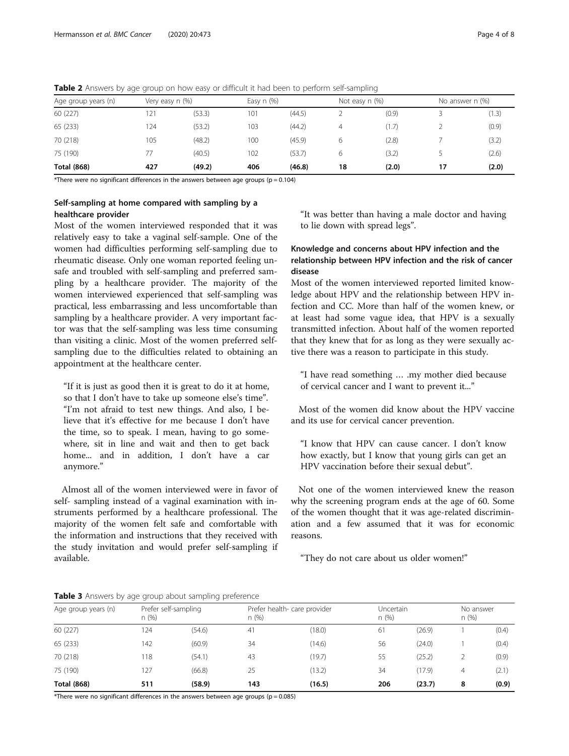| Age group years (n) | Very easy n (%) |        | Easy $n$ $(\%)$ |        | Not easy $n$ $(\%)$ |       | No answer n (%) |       |
|---------------------|-----------------|--------|-----------------|--------|---------------------|-------|-----------------|-------|
| 60 (227)            | 121             | (53.3) | 101             | (44.5) |                     | (0.9) |                 | (1.3) |
| 65 (233)            | 124             | (53.2) | 103             | (44.2) | 4                   | (1.7) |                 | (0.9) |
| 70 (218)            | 105             | (48.2) | 100             | (45.9) | 6                   | (2.8) |                 | (3.2) |
| 75 (190)            | 77              | (40.5) | 102             | (53.7) | 6                   | (3.2) |                 | (2.6) |
| <b>Total (868)</b>  | 427             | (49.2) | 406             | (46.8) | 18                  | (2.0) | 17              | (2.0) |

<span id="page-3-0"></span>Table 2 Answers by age group on how easy or difficult it had been to perform self-sampling

\*There were no significant differences in the answers between age groups ( $p = 0.104$ )

# Self-sampling at home compared with sampling by a healthcare provider

Most of the women interviewed responded that it was relatively easy to take a vaginal self-sample. One of the women had difficulties performing self-sampling due to rheumatic disease. Only one woman reported feeling unsafe and troubled with self-sampling and preferred sampling by a healthcare provider. The majority of the women interviewed experienced that self-sampling was practical, less embarrassing and less uncomfortable than sampling by a healthcare provider. A very important factor was that the self-sampling was less time consuming than visiting a clinic. Most of the women preferred selfsampling due to the difficulties related to obtaining an appointment at the healthcare center.

"If it is just as good then it is great to do it at home, so that I don't have to take up someone else's time". "I'm not afraid to test new things. And also, I believe that it's effective for me because I don't have the time, so to speak. I mean, having to go somewhere, sit in line and wait and then to get back home... and in addition, I don't have a car anymore."

Almost all of the women interviewed were in favor of self- sampling instead of a vaginal examination with instruments performed by a healthcare professional. The majority of the women felt safe and comfortable with the information and instructions that they received with the study invitation and would prefer self-sampling if available.

"It was better than having a male doctor and having to lie down with spread legs".

# Knowledge and concerns about HPV infection and the relationship between HPV infection and the risk of cancer disease

Most of the women interviewed reported limited knowledge about HPV and the relationship between HPV infection and CC. More than half of the women knew, or at least had some vague idea, that HPV is a sexually transmitted infection. About half of the women reported that they knew that for as long as they were sexually active there was a reason to participate in this study.

"I have read something … .my mother died because of cervical cancer and I want to prevent it..."

Most of the women did know about the HPV vaccine and its use for cervical cancer prevention.

"I know that HPV can cause cancer. I don't know how exactly, but I know that young girls can get an HPV vaccination before their sexual debut".

Not one of the women interviewed knew the reason why the screening program ends at the age of 60. Some of the women thought that it was age-related discrimination and a few assumed that it was for economic reasons.

"They do not care about us older women!"

Table 3 Answers by age group about sampling preference

| Age group years (n) | Prefer self-sampling<br>n(%) |        | Prefer health- care provider<br>n(%) |        | Uncertain<br>n(%) |        | No answer<br>n(%) |       |
|---------------------|------------------------------|--------|--------------------------------------|--------|-------------------|--------|-------------------|-------|
| 60 (227)            | 124                          | (54.6) | 41                                   | (18.0) | 61                | (26.9) |                   | (0.4) |
| 65 (233)            | 142                          | (60.9) | 34                                   | (14.6) | 56                | (24.0) |                   | (0.4) |
| 70 (218)            | 118                          | (54.1) | 43                                   | (19.7) | 55                | (25.2) |                   | (0.9) |
| 75 (190)            | 127                          | (66.8) | 25                                   | (13.2) | 34                | (17.9) | $\overline{4}$    | (2.1) |
| <b>Total (868)</b>  | 511                          | (58.9) | 143                                  | (16.5) | 206               | (23.7) | 8                 | (0.9) |

\*There were no significant differences in the answers between age groups ( $p = 0.085$ )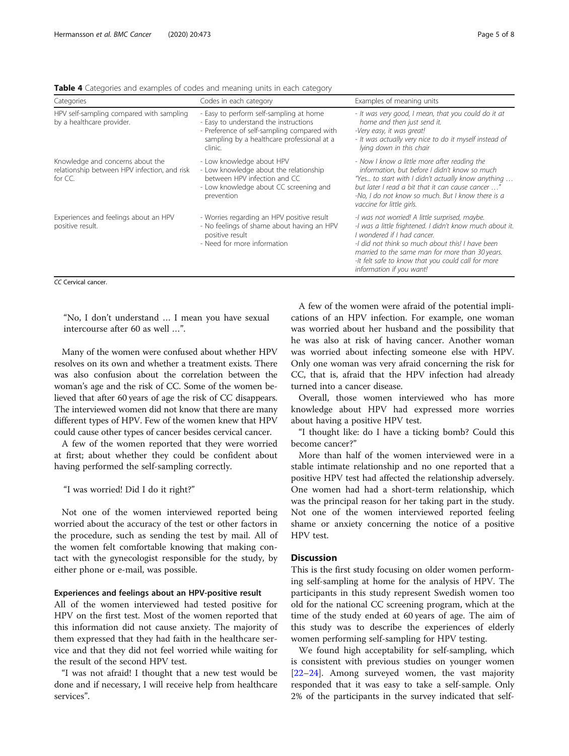<span id="page-4-0"></span>

| <b>Table 4</b> Categories and examples of codes and meaning units in each category |  |
|------------------------------------------------------------------------------------|--|
|                                                                                    |  |

| Categories                                                                                  | Codes in each category                                                                                                                                                                   | Examples of meaning units                                                                                                                                                                                                                                                                                                          |
|---------------------------------------------------------------------------------------------|------------------------------------------------------------------------------------------------------------------------------------------------------------------------------------------|------------------------------------------------------------------------------------------------------------------------------------------------------------------------------------------------------------------------------------------------------------------------------------------------------------------------------------|
| HPV self-sampling compared with sampling<br>by a healthcare provider.                       | - Easy to perform self-sampling at home<br>- Easy to understand the instructions<br>- Preference of self-sampling compared with<br>sampling by a healthcare professional at a<br>clinic. | - It was very good, I mean, that you could do it at<br>home and then just send it.<br>-Very easy, it was great!<br>- It was actually very nice to do it myself instead of<br>lying down in this chair                                                                                                                              |
| Knowledge and concerns about the<br>relationship between HPV infection, and risk<br>for CC. | - Low knowledge about HPV<br>- Low knowledge about the relationship<br>between HPV infection and CC<br>- Low knowledge about CC screening and<br>prevention                              | - Now I know a little more after reading the<br>information, but before I didn't know so much<br>"Yes to start with I didn't actually know anything<br>but later I read a bit that it can cause cancer '<br>-No, I do not know so much. But I know there is a<br>vaccine for little girls.                                         |
| Experiences and feelings about an HPV<br>positive result.                                   | - Worries regarding an HPV positive result<br>- No feelings of shame about having an HPV<br>positive result<br>- Need for more information                                               | -I was not worried! A little surprised, maybe.<br>-I was a little frightened. I didn't know much about it.<br>I wondered if I had cancer.<br>-I did not think so much about this! I have been<br>married to the same man for more than 30 years.<br>-It felt safe to know that you could call for more<br>information if you want! |

CC Cervical cancer.

"No, I don't understand … I mean you have sexual intercourse after 60 as well …".

Many of the women were confused about whether HPV resolves on its own and whether a treatment exists. There was also confusion about the correlation between the woman's age and the risk of CC. Some of the women believed that after 60 years of age the risk of CC disappears. The interviewed women did not know that there are many different types of HPV. Few of the women knew that HPV could cause other types of cancer besides cervical cancer.

A few of the women reported that they were worried at first; about whether they could be confident about having performed the self-sampling correctly.

"I was worried! Did I do it right?"

Not one of the women interviewed reported being worried about the accuracy of the test or other factors in the procedure, such as sending the test by mail. All of the women felt comfortable knowing that making contact with the gynecologist responsible for the study, by either phone or e-mail, was possible.

# Experiences and feelings about an HPV-positive result

All of the women interviewed had tested positive for HPV on the first test. Most of the women reported that this information did not cause anxiety. The majority of them expressed that they had faith in the healthcare service and that they did not feel worried while waiting for the result of the second HPV test.

"I was not afraid! I thought that a new test would be done and if necessary, I will receive help from healthcare services".

A few of the women were afraid of the potential implications of an HPV infection. For example, one woman was worried about her husband and the possibility that he was also at risk of having cancer. Another woman was worried about infecting someone else with HPV. Only one woman was very afraid concerning the risk for CC, that is, afraid that the HPV infection had already turned into a cancer disease.

Overall, those women interviewed who has more knowledge about HPV had expressed more worries about having a positive HPV test.

"I thought like: do I have a ticking bomb? Could this become cancer?"

More than half of the women interviewed were in a stable intimate relationship and no one reported that a positive HPV test had affected the relationship adversely. One women had had a short-term relationship, which was the principal reason for her taking part in the study. Not one of the women interviewed reported feeling shame or anxiety concerning the notice of a positive HPV test.

# **Discussion**

This is the first study focusing on older women performing self-sampling at home for the analysis of HPV. The participants in this study represent Swedish women too old for the national CC screening program, which at the time of the study ended at 60 years of age. The aim of this study was to describe the experiences of elderly women performing self-sampling for HPV testing.

We found high acceptability for self-sampling, which is consistent with previous studies on younger women [[22](#page-6-0)–[24](#page-6-0)]. Among surveyed women, the vast majority responded that it was easy to take a self-sample. Only 2% of the participants in the survey indicated that self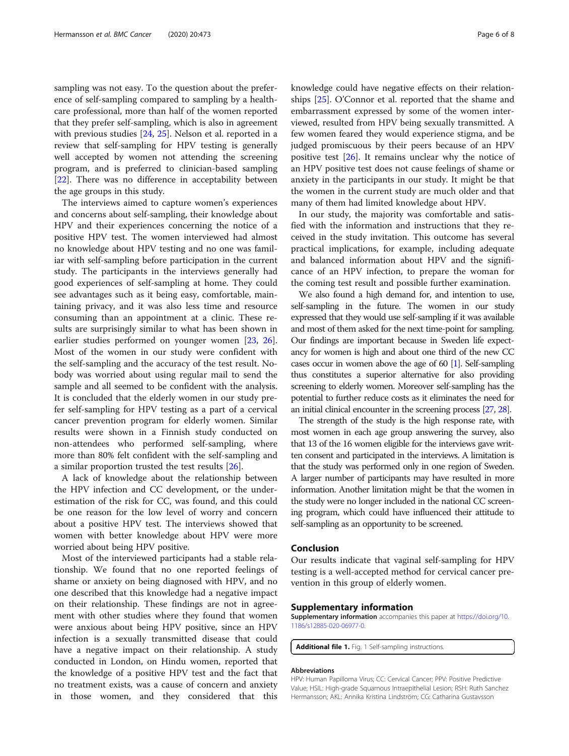<span id="page-5-0"></span>sampling was not easy. To the question about the preference of self-sampling compared to sampling by a healthcare professional, more than half of the women reported that they prefer self-sampling, which is also in agreement with previous studies [[24](#page-6-0), [25](#page-6-0)]. Nelson et al. reported in a review that self-sampling for HPV testing is generally well accepted by women not attending the screening program, and is preferred to clinician-based sampling [[22\]](#page-6-0). There was no difference in acceptability between the age groups in this study.

The interviews aimed to capture women's experiences and concerns about self-sampling, their knowledge about HPV and their experiences concerning the notice of a positive HPV test. The women interviewed had almost no knowledge about HPV testing and no one was familiar with self-sampling before participation in the current study. The participants in the interviews generally had good experiences of self-sampling at home. They could see advantages such as it being easy, comfortable, maintaining privacy, and it was also less time and resource consuming than an appointment at a clinic. These results are surprisingly similar to what has been shown in earlier studies performed on younger women [[23](#page-6-0), [26](#page-6-0)]. Most of the women in our study were confident with the self-sampling and the accuracy of the test result. Nobody was worried about using regular mail to send the sample and all seemed to be confident with the analysis. It is concluded that the elderly women in our study prefer self-sampling for HPV testing as a part of a cervical cancer prevention program for elderly women. Similar results were shown in a Finnish study conducted on non-attendees who performed self-sampling, where more than 80% felt confident with the self-sampling and a similar proportion trusted the test results [[26\]](#page-6-0).

A lack of knowledge about the relationship between the HPV infection and CC development, or the underestimation of the risk for CC, was found, and this could be one reason for the low level of worry and concern about a positive HPV test. The interviews showed that women with better knowledge about HPV were more worried about being HPV positive.

Most of the interviewed participants had a stable relationship. We found that no one reported feelings of shame or anxiety on being diagnosed with HPV, and no one described that this knowledge had a negative impact on their relationship. These findings are not in agreement with other studies where they found that women were anxious about being HPV positive, since an HPV infection is a sexually transmitted disease that could have a negative impact on their relationship. A study conducted in London, on Hindu women, reported that the knowledge of a positive HPV test and the fact that no treatment exists, was a cause of concern and anxiety in those women, and they considered that this knowledge could have negative effects on their relationships [\[25\]](#page-6-0). O'Connor et al. reported that the shame and embarrassment expressed by some of the women interviewed, resulted from HPV being sexually transmitted. A few women feared they would experience stigma, and be judged promiscuous by their peers because of an HPV positive test [\[26](#page-6-0)]. It remains unclear why the notice of an HPV positive test does not cause feelings of shame or anxiety in the participants in our study. It might be that the women in the current study are much older and that many of them had limited knowledge about HPV.

In our study, the majority was comfortable and satisfied with the information and instructions that they received in the study invitation. This outcome has several practical implications, for example, including adequate and balanced information about HPV and the significance of an HPV infection, to prepare the woman for the coming test result and possible further examination.

We also found a high demand for, and intention to use, self-sampling in the future. The women in our study expressed that they would use self-sampling if it was available and most of them asked for the next time-point for sampling. Our findings are important because in Sweden life expectancy for women is high and about one third of the new CC cases occur in women above the age of 60 [[1](#page-6-0)]. Self-sampling thus constitutes a superior alternative for also providing screening to elderly women. Moreover self-sampling has the potential to further reduce costs as it eliminates the need for an initial clinical encounter in the screening process [\[27](#page-6-0), [28\]](#page-7-0).

The strength of the study is the high response rate, with most women in each age group answering the survey, also that 13 of the 16 women eligible for the interviews gave written consent and participated in the interviews. A limitation is that the study was performed only in one region of Sweden. A larger number of participants may have resulted in more information. Another limitation might be that the women in the study were no longer included in the national CC screening program, which could have influenced their attitude to self-sampling as an opportunity to be screened.

#### Conclusion

Our results indicate that vaginal self-sampling for HPV testing is a well-accepted method for cervical cancer prevention in this group of elderly women.

#### Supplementary information

Supplementary information accompanies this paper at [https://doi.org/10.](https://doi.org/10.1186/s12885-020-06977-0) [1186/s12885-020-06977-0](https://doi.org/10.1186/s12885-020-06977-0).

Additional file 1. Fig. 1 Self-sampling instructions

#### Abbreviations

HPV: Human Papilloma Virus; CC: Cervical Cancer; PPV: Positive Predictive Value; HSIL: High-grade Squamous Intraepithelial Lesion; RSH: Ruth Sanchez Hermansson; AKL: Annika Kristina Lindström; CG: Catharina Gustavsson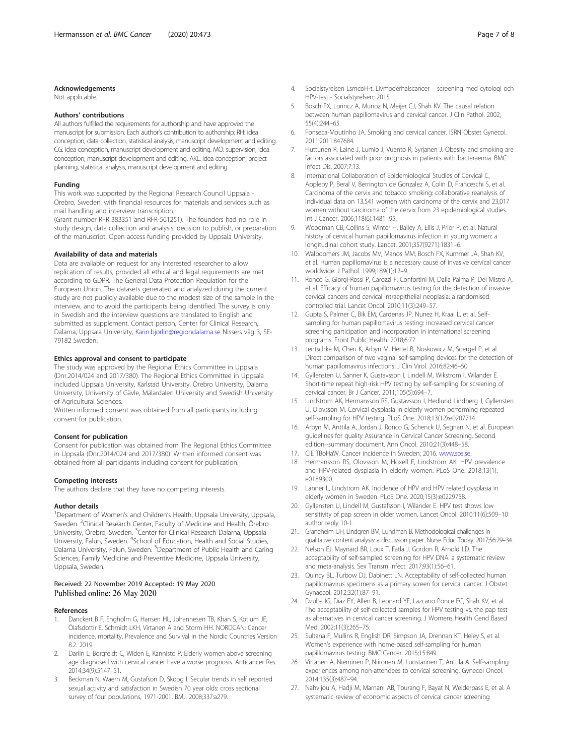#### <span id="page-6-0"></span>Acknowledgements

Not applicable.

#### Authors' contributions

All authors fulfilled the requirements for authorship and have approved the manuscript for submission. Each author's contribution to authorship; RH: idea conception, data collection, statistical analysis, manuscript development and editing. CG: idea conception, manuscript development and editing. MO: supervision, idea conception, manuscript development and editing. AKL: idea conception, project planning, statistical analysis, manuscript development and editing.

#### Funding

This work was supported by the Regional Research Council Uppsala - Örebro, Sweden, with financial resources for materials and services such as mail handling and interview transcription.

(Grant number RFR 383351 and RFR-561251). The founders had no role in study design, data collection and analysis, decision to publish, or preparation of the manuscript. Open access funding provided by Uppsala University.

#### Availability of data and materials

Data are available on request for any interested researcher to allow replication of results, provided all ethical and legal requirements are met according to GDPR. The General Data Protection Regulation for the European Union. The datasets generated and analyzed during the current study are not publicly available due to the modest size of the sample in the interview, and to avoid the participants being identified. The survey is only in Swedish and the interview questions are translated to English and submitted as supplement. Contact person, Center for Clinical Research, Dalarna, Uppsala University, [Karin.bjorlin@regiondalarna.se](mailto:Karin.bjorlin@regiondalarna.se) Nissers väg 3, SE-79182 Sweden.

#### Ethics approval and consent to participate

The study was approved by the Regional Ethics Committee in Uppsala (Dnr.2014/024 and 2017/380). The Regional Ethics Committee in Uppsala included Uppsala University, Karlstad University, Örebro University, Dalarna University, University of Gävle, Mälardalen University and Swedish University of Agricultural Sciences.

Written informed consent was obtained from all participants including consent for publication.

#### Consent for publication

Consent for publication was obtained from The Regional Ethics Committee in Uppsala (Dnr.2014/024 and 2017/380). Written informed consent was obtained from all participants including consent for publication.

#### Competing interests

The authors declare that they have no competing interests.

#### Author details

<sup>1</sup>Department of Women's and Children's Health, Uppsala University, Uppsala, Sweden. <sup>2</sup>Clinical Research Center, Faculty of Medicine and Health, Örebro University, Örebro, Sweden. <sup>3</sup>Center for Clinical Research Dalarna, Uppsala University, Falun, Sweden. <sup>4</sup>School of Education, Health and Social Studies, Dalarna University, Falun, Sweden. <sup>5</sup>Department of Public Health and Caring Sciences, Family Medicine and Preventive Medicine, Uppsala University, Uppsala, Sweden.

#### Received: 22 November 2019 Accepted: 19 May 2020 Published online: 26 May 2020

#### References

- Danckert B F, Engholm G, Hansen HL, Johannesen TB, Khan S, Kötlum JE, Ólafsdottir E, Schmidt LKH, Virtanen A and Storm HH. NORDCAN: Cancer incidence, mortality, Prevalence and Survival in the Nordic Countries Version 8.2. 2019.
- 2. Darlin L, Borgfeldt C, Widen E, Kannisto P. Elderly women above screening age diagnosed with cervical cancer have a worse prognosis. Anticancer Res. 2014;34(9):5147–51.
- 3. Beckman N, Waern M, Gustafson D, Skoog I. Secular trends in self reported sexual activity and satisfaction in Swedish 70 year olds: cross sectional survey of four populations, 1971-2001. BMJ. 2008;337:a279.
- 4. Socialstyrelsen LsmcoH-t. Livmoderhalscancer screening med cytologi och HPV-test - Socialstyrelsen; 2015.
- 5. Bosch FX, Lorincz A, Munoz N, Meijer CJ, Shah KV. The causal relation between human papillomavirus and cervical cancer. J Clin Pathol. 2002; 55(4):244–65.
- 6. Fonseca-Moutinho JA. Smoking and cervical cancer. ISRN Obstet Gynecol. 2011;2011:847684.
- 7. Huttunen R, Laine J, Lumio J, Vuento R, Syrjanen J. Obesity and smoking are factors associated with poor prognosis in patients with bacteraemia. BMC Infect Dis. 2007;7:13.
- International Collaboration of Epidemiological Studies of Cervical C, Appleby P, Beral V, Berrington de Gonzalez A, Colin D, Franceschi S, et al. Carcinoma of the cervix and tobacco smoking: collaborative reanalysis of individual data on 13,541 women with carcinoma of the cervix and 23,017 women without carcinoma of the cervix from 23 epidemiological studies. Int J Cancer. 2006;118(6):1481–95.
- 9. Woodman CB, Collins S, Winter H, Bailey A, Ellis J, Prior P, et al. Natural history of cervical human papillomavirus infection in young women: a longitudinal cohort study. Lancet. 2001;357(9271):1831–6.
- 10. Walboomers JM, Jacobs MV, Manos MM, Bosch FX, Kummer JA, Shah KV, et al. Human papillomavirus is a necessary cause of invasive cervical cancer worldwide. J Pathol. 1999;189(1):12–9.
- 11. Ronco G, Giorgi-Rossi P, Carozzi F, Confortini M, Dalla Palma P, Del Mistro A, et al. Efficacy of human papillomavirus testing for the detection of invasive cervical cancers and cervical intraepithelial neoplasia: a randomised controlled trial. Lancet Oncol. 2010;11(3):249–57.
- 12. Gupta S, Palmer C, Bik EM, Cardenas JP, Nunez H, Kraal L, et al. Selfsampling for human papillomavirus testing: increased cervical cancer screening participation and incorporation in international screening programs. Front Public Health. 2018;6:77.
- 13. Jentschke M, Chen K, Arbyn M, Hertel B, Noskowicz M, Soergel P, et al. Direct comparison of two vaginal self-sampling devices for the detection of human papillomavirus infections. J Clin Virol. 2016;82:46–50.
- 14. Gyllensten U, Sanner K, Gustavsson I, Lindell M, Wikstrom I, Wilander E. Short-time repeat high-risk HPV testing by self-sampling for screening of cervical cancer. Br J Cancer. 2011;105(5):694–7.
- 15. Lindstrom AK, Hermansson RS, Gustavsson I, Hedlund Lindberg J, Gyllensten U, Olovsson M. Cervical dysplasia in elderly women performing repeated self-sampling for HPV testing. PLoS One. 2018;13(12):e0207714.
- 16. Arbyn M, Anttila A, Jordan J, Ronco G, Schenck U, Segnan N, et al. European guidelines for quality Assurance in Cervical Cancer Screening. Second edition--summary document. Ann Oncol. 2010;21(3):448–58.
- 17. CIE TBoHaW. Cancer incidence in Sweden; 2016. [www.sos.se.](http://www.sos.se)
- 18. Hermansson RS, Olovsson M, Hoxell E, Lindstrom AK. HPV prevalence and HPV-related dysplasia in elderly women. PLoS One. 2018;13(1): e0189300.
- 19. Lanner L, Lindstrom AK. Incidence of HPV and HPV related dysplasia in elderly women in Sweden. PLoS One. 2020;15(3):e0229758.
- 20. Gyllensten U, Lindell M, Gustafsson I, Wilander E. HPV test shows low sensitivity of pap screen in older women. Lancet Oncol. 2010;11(6):509–10 author reply 10-1.
- 21. Graneheim UH, Lindgren BM, Lundman B. Methodological challenges in qualitative content analysis: a discussion paper. Nurse Educ Today. 2017;56:29–34.
- 22. Nelson EJ, Maynard BR, Loux T, Fatla J, Gordon R, Arnold LD. The acceptability of self-sampled screening for HPV DNA: a systematic review and meta-analysis. Sex Transm Infect. 2017;93(1):56–61.
- 23. Quincy BL, Turbow DJ, Dabinett LN. Acceptability of self-collected human papillomavirus specimens as a primary screen for cervical cancer. J Obstet Gynaecol. 2012;32(1):87–91.
- 24. Dzuba IG, Diaz EY, Allen B, Leonard YF, Lazcano Ponce EC, Shah KV, et al. The acceptability of self-collected samples for HPV testing vs. the pap test as alternatives in cervical cancer screening. J Womens Health Gend Based Med. 2002;11(3):265–75.
- 25. Sultana F, Mullins R, English DR, Simpson JA, Drennan KT, Heley S, et al. Women's experience with home-based self-sampling for human papillomavirus testing. BMC Cancer. 2015;15:849.
- 26. Virtanen A, Nieminen P, Niironen M, Luostarinen T, Anttila A. Self-sampling experiences among non-attendees to cervical screening. Gynecol Oncol. 2014;135(3):487–94.
- 27. Nahvijou A, Hadji M, Marnani AB, Tourang F, Bayat N, Weiderpass E, et al. A systematic review of economic aspects of cervical cancer screening